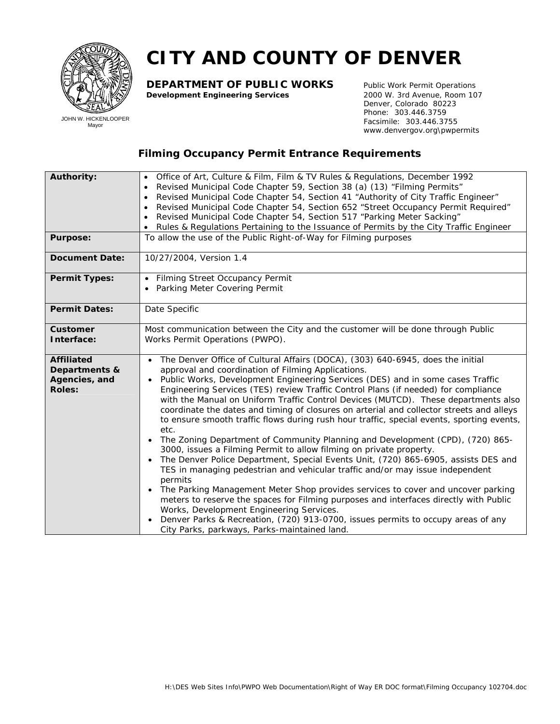

## **CITY AND COUNTY OF DENVER**

**DEPARTMENT OF PUBLIC WORKS** Public Work Permit Operations<br>**Development Engineering Services** 2000 W. 3rd Avenue, Room 107 **Development Engineering Services** 

 Denver, Colorado 80223 Phone: 303.446.3759 Facsimile: 303.446.3755 www.denvergov.org\pwpermits

## **Filming Occupancy Permit Entrance Requirements**

| <b>Authority:</b>                                                    | Office of Art, Culture & Film, <i>Film &amp; TV</i> Rules & Regulations, December 1992<br>$\bullet$<br>Revised Municipal Code Chapter 59, Section 38 (a) (13) "Filming Permits"<br>$\bullet$<br>Revised Municipal Code Chapter 54, Section 41 "Authority of City Traffic Engineer"<br>$\bullet$<br>Revised Municipal Code Chapter 54, Section 652 "Street Occupancy Permit Required"<br>$\bullet$<br>Revised Municipal Code Chapter 54, Section 517 "Parking Meter Sacking"<br>Rules & Regulations Pertaining to the Issuance of Permits by the City Traffic Engineer                                                                                                                                                                                                                                                                                                                                                                                                                                                                                                                                                                                                                                                                                                                                                                                 |
|----------------------------------------------------------------------|-------------------------------------------------------------------------------------------------------------------------------------------------------------------------------------------------------------------------------------------------------------------------------------------------------------------------------------------------------------------------------------------------------------------------------------------------------------------------------------------------------------------------------------------------------------------------------------------------------------------------------------------------------------------------------------------------------------------------------------------------------------------------------------------------------------------------------------------------------------------------------------------------------------------------------------------------------------------------------------------------------------------------------------------------------------------------------------------------------------------------------------------------------------------------------------------------------------------------------------------------------------------------------------------------------------------------------------------------------|
| <b>Purpose:</b>                                                      | To allow the use of the Public Right-of-Way for Filming purposes                                                                                                                                                                                                                                                                                                                                                                                                                                                                                                                                                                                                                                                                                                                                                                                                                                                                                                                                                                                                                                                                                                                                                                                                                                                                                      |
| <b>Document Date:</b>                                                | 10/27/2004, Version 1.4                                                                                                                                                                                                                                                                                                                                                                                                                                                                                                                                                                                                                                                                                                                                                                                                                                                                                                                                                                                                                                                                                                                                                                                                                                                                                                                               |
| <b>Permit Types:</b>                                                 | • Filming Street Occupancy Permit<br>• Parking Meter Covering Permit                                                                                                                                                                                                                                                                                                                                                                                                                                                                                                                                                                                                                                                                                                                                                                                                                                                                                                                                                                                                                                                                                                                                                                                                                                                                                  |
| <b>Permit Dates:</b>                                                 | Date Specific                                                                                                                                                                                                                                                                                                                                                                                                                                                                                                                                                                                                                                                                                                                                                                                                                                                                                                                                                                                                                                                                                                                                                                                                                                                                                                                                         |
| <b>Customer</b><br>Interface:                                        | Most communication between the City and the customer will be done through Public<br>Works Permit Operations (PWPO).                                                                                                                                                                                                                                                                                                                                                                                                                                                                                                                                                                                                                                                                                                                                                                                                                                                                                                                                                                                                                                                                                                                                                                                                                                   |
| <b>Affiliated</b><br>Departments &<br>Agencies, and<br><b>Roles:</b> | • The Denver Office of Cultural Affairs (DOCA), (303) 640-6945, does the initial<br>approval and coordination of Filming Applications.<br>Public Works, Development Engineering Services (DES) and in some cases Traffic<br>$\bullet$<br>Engineering Services (TES) review Traffic Control Plans (if needed) for compliance<br>with the Manual on Uniform Traffic Control Devices (MUTCD). These departments also<br>coordinate the dates and timing of closures on arterial and collector streets and alleys<br>to ensure smooth traffic flows during rush hour traffic, special events, sporting events,<br>etc.<br>The Zoning Department of Community Planning and Development (CPD), (720) 865-<br>$\bullet$<br>3000, issues a Filming Permit to allow filming on private property.<br>The Denver Police Department, Special Events Unit, (720) 865-6905, assists DES and<br>$\bullet$<br>TES in managing pedestrian and vehicular traffic and/or may issue independent<br>permits<br>• The Parking Management Meter Shop provides services to cover and uncover parking<br>meters to reserve the spaces for Filming purposes and interfaces directly with Public<br>Works, Development Engineering Services.<br>Denver Parks & Recreation, (720) 913-0700, issues permits to occupy areas of any<br>City Parks, parkways, Parks-maintained land. |